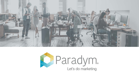

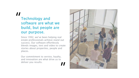#### Technology and software are what we build, but people are our purpose. **II**<br>Te<br>so

Since 1992, we've been helping real estate professionals achieve stand out success. Our software effortlessly blends images, text and video to create stories about properties, people and places.

Our commitment to service, loyalty, and innovation are what drive us to deliver you results. "

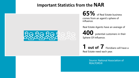## **Important Statistics from the NAR**



**65%** of Real Estate business comes from an agent's sphere of influence.

Real Estate Agents have an average of

**400** potential customers in their Sphere Of Influence.

**1 out of 7** Floridians will have a Real Estate need each year.

> Source: National Association of REALTORS®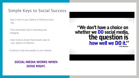#### Simple Keys to Social Success

- Stay in front of your Sphere of Influence every day.
- Post information that is interesting and engaging.
- Have Calls-to-Action that provide value to
- your Sphere of Influence.
- Continue to add new people to your network.

#### **SOCIAL MEDIA WORKS WHEN DONE RIGHT.**

# "We don't have a choice on whether we **DO** social media, the question is how well we DO it"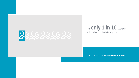



Source: National Association of REALTORS<sup>®</sup>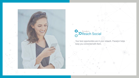



Your best opportunities are in your network. Paradym helps keep you connected with them.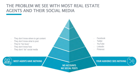#### THE PROBLEM WE SEE WITH MOST REAL ESTATE AGENTS AND THEIR SOCIAL MEDIA

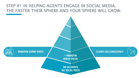#### STEP #1 IN HELPING AGENTS ENGAGE IN SOCIAL MEDIA. THE FASTER THEIR SPHERE AND YOUR SPHERE WILL GROW.

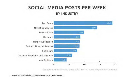#### **SOCIAL MEDIA POSTS PER WEEK BY INDUSTRY**



Avenue number of social posts published per week (nii platformstrumats).

source: http://offers.hubspot.com/social-media-benchmarks-report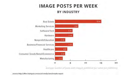## **IMAGE POSTS PER WEEK BY INDUSTRY**



Average number of posts with images published per week (all platforms)